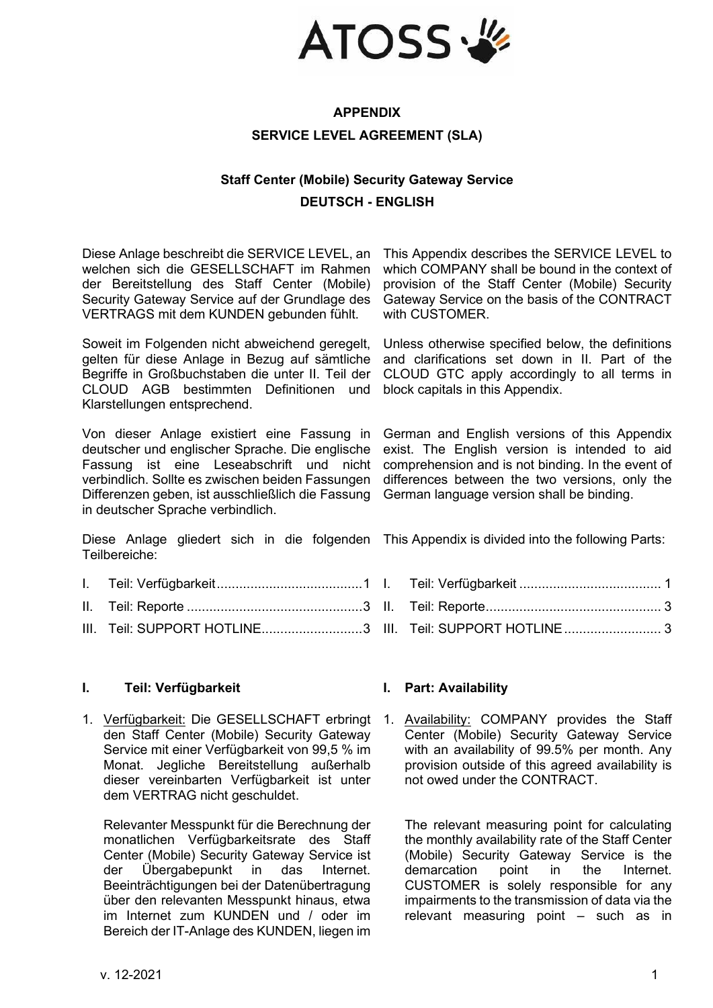

# **APPENDIX SERVICE LEVEL AGREEMENT (SLA)**

# **Staff Center (Mobile) Security Gateway Service DEUTSCH - ENGLISH**

Diese Anlage beschreibt die SERVICE LEVEL, an welchen sich die GESELLSCHAFT im Rahmen der Bereitstellung des Staff Center (Mobile) Security Gateway Service auf der Grundlage des VERTRAGS mit dem KUNDEN gebunden fühlt.

Soweit im Folgenden nicht abweichend geregelt, gelten für diese Anlage in Bezug auf sämtliche Begriffe in Großbuchstaben die unter II. Teil der CLOUD AGB bestimmten Definitionen und Klarstellungen entsprechend.

Von dieser Anlage existiert eine Fassung in deutscher und englischer Sprache. Die englische Fassung ist eine Leseabschrift und nicht verbindlich. Sollte es zwischen beiden Fassungen Differenzen geben, ist ausschließlich die Fassung in deutscher Sprache verbindlich.

Diese Anlage gliedert sich in die folgenden This Appendix is divided into the following Parts: Teilbereiche:

- I. [Teil: Verfügbarkeit.......................................1](#page-0-0)
- II. Teil: Reporte [...............................................3](#page-2-0)
- III. [Teil: SUPPORT HOTLINE..........................](#page-2-1)....3 III. Teil: SUPPORT HOTLINE...............................3

### <span id="page-0-0"></span>**I. Teil: Verfügbarkeit I. Part: Availability**

1. Verfügbarkeit: Die GESELLSCHAFT erbringt 1. den Staff Center (Mobile) Security Gateway Service mit einer Verfügbarkeit von 99,5 % im Monat. Jegliche Bereitstellung außerhalb dieser vereinbarten Verfügbarkeit ist unter dem VERTRAG nicht geschuldet.

Relevanter Messpunkt für die Berechnung der monatlichen Verfügbarkeitsrate des Staff Center (Mobile) Security Gateway Service ist der Übergabepunkt in das Internet. Beeinträchtigungen bei der Datenübertragung über den relevanten Messpunkt hinaus, etwa im Internet zum KUNDEN und / oder im Bereich der IT-Anlage des KUNDEN, liegen im

This Appendix describes the SERVICE LEVEL to which COMPANY shall be bound in the context of provision of the Staff Center (Mobile) Security Gateway Service on the basis of the CONTRACT with CUSTOMER.

Unless otherwise specified below, the definitions and clarifications set down in II. Part of the CLOUD GTC apply accordingly to all terms in block capitals in this Appendix.

German and English versions of this Appendix exist. The English version is intended to aid comprehension and is not binding. In the event of differences between the two versions, only the German language version shall be binding.

I. Teil: Verfügbarkeit [......................................](#page-0-0) 1 II. [Teil: Reporte...............................................](#page-2-0) 3

Availability: COMPANY provides the Staff Center (Mobile) Security Gateway Service with an availability of 99.5% per month. Any provision outside of this agreed availability is not owed under the CONTRACT.

The relevant measuring point for calculating the monthly availability rate of the Staff Center (Mobile) Security Gateway Service is the demarcation point in the Internet. CUSTOMER is solely responsible for any impairments to the transmission of data via the relevant measuring point – such as in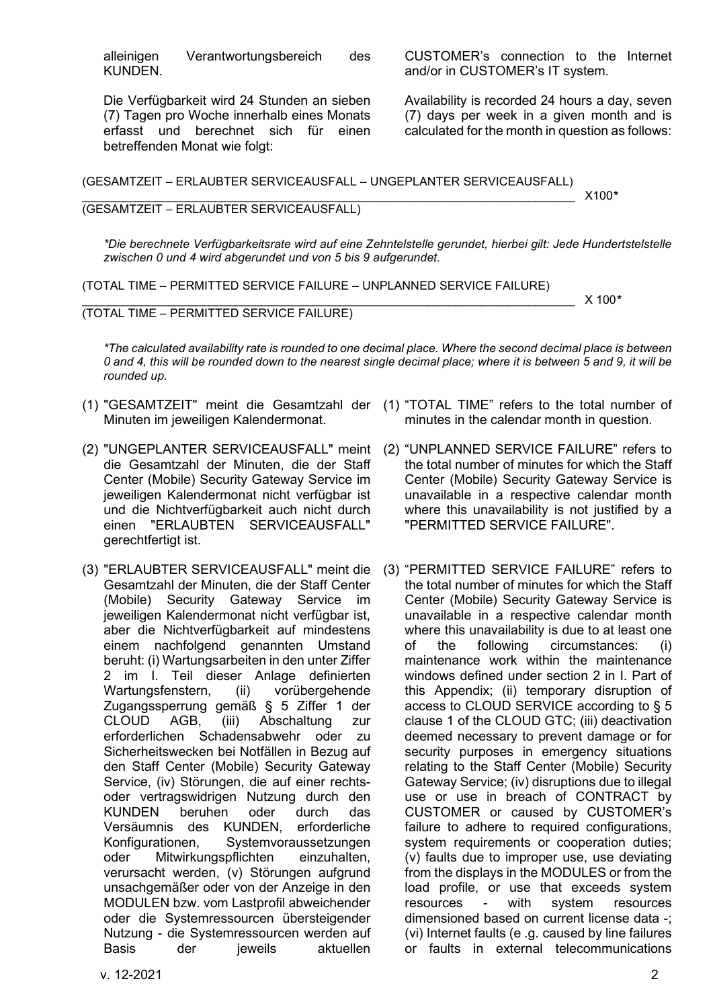alleinigen Verantwortungsbereich des KUNDEN.

Die Verfügbarkeit wird 24 Stunden an sieben (7) Tagen pro Woche innerhalb eines Monats erfasst und berechnet sich für einen betreffenden Monat wie folgt:

CUSTOMER's connection to the Internet and/or in CUSTOMER's IT system.

Availability is recorded 24 hours a day, seven (7) days per week in a given month and is calculated for the month in question as follows:

(GESAMTZEIT – ERLAUBTER SERVICEAUSFALL – UNGEPLANTER SERVICEAUSFALL)

### \_\_\_\_\_\_\_\_\_\_\_\_\_\_\_\_\_\_\_\_\_\_\_\_\_\_\_\_\_\_\_\_\_\_\_\_\_\_\_\_\_\_\_\_\_\_\_\_\_\_\_\_\_\_\_\_\_\_\_\_\_\_\_\_\_\_\_\_\_\_\_\_\_\_ X100*\** (GESAMTZEIT – ERLAUBTER SERVICEAUSFALL)

*\*Die berechnete Verfügbarkeitsrate wird auf eine Zehntelstelle gerundet, hierbei gilt: Jede Hundertstelstelle zwischen 0 und 4 wird abgerundet und von 5 bis 9 aufgerundet.*

(TOTAL TIME – PERMITTED SERVICE FAILURE – UNPLANNED SERVICE FAILURE)

\_\_\_\_\_\_\_\_\_\_\_\_\_\_\_\_\_\_\_\_\_\_\_\_\_\_\_\_\_\_\_\_\_\_\_\_\_\_\_\_\_\_\_\_\_\_\_\_\_\_\_\_\_\_\_\_\_\_\_\_\_\_\_\_\_\_\_\_\_\_\_\_\_\_ X 100*\**

### (TOTAL TIME – PERMITTED SERVICE FAILURE)

*\*The calculated availability rate is rounded to one decimal place. Where the second decimal place is between 0 and 4, this will be rounded down to the nearest single decimal place; where it is between 5 and 9, it will be rounded up.*

- (1) "GESAMTZEIT" meint die Gesamtzahl der (1) "TOTAL TIME" refers to the total number of Minuten im jeweiligen Kalendermonat.
- (2) "UNGEPLANTER SERVICEAUSFALL" meint (2) "UNPLANNED SERVICE FAILURE" refers to die Gesamtzahl der Minuten, die der Staff Center (Mobile) Security Gateway Service im jeweiligen Kalendermonat nicht verfügbar ist und die Nichtverfügbarkeit auch nicht durch einen "ERLAUBTEN SERVICEAUSFALL" gerechtfertigt ist.
- (3) "ERLAUBTER SERVICEAUSFALL" meint die Gesamtzahl der Minuten, die der Staff Center (Mobile) Security Gateway Service im jeweiligen Kalendermonat nicht verfügbar ist, aber die Nichtverfügbarkeit auf mindestens einem nachfolgend genannten Umstand beruht: (i) Wartungsarbeiten in den unter Ziffer 2 im I. Teil dieser Anlage definierten Wartungsfenstern, (ii) vorübergehende Zugangssperrung gemäß § 5 Ziffer 1 der AGB, (iii) Abschaltung zur erforderlichen Schadensabwehr oder zu Sicherheitswecken bei Notfällen in Bezug auf den Staff Center (Mobile) Security Gateway Service, (iv) Störungen, die auf einer rechtsoder vertragswidrigen Nutzung durch den KUNDEN beruhen oder durch das Versäumnis des KUNDEN, erforderliche Konfigurationen, Systemvoraussetzungen oder Mitwirkungspflichten einzuhalten, verursacht werden, (v) Störungen aufgrund unsachgemäßer oder von der Anzeige in den MODULEN bzw. vom Lastprofil abweichender oder die Systemressourcen übersteigender Nutzung - die Systemressourcen werden auf Basis der jeweils aktuellen
- minutes in the calendar month in question.
- the total number of minutes for which the Staff Center (Mobile) Security Gateway Service is unavailable in a respective calendar month where this unavailability is not justified by a "PERMITTED SERVICE FAILURE".
- (3) "PERMITTED SERVICE FAILURE" refers to the total number of minutes for which the Staff Center (Mobile) Security Gateway Service is unavailable in a respective calendar month where this unavailability is due to at least one of the following circumstances: (i) maintenance work within the maintenance windows defined under section 2 in I. Part of this Appendix; (ii) temporary disruption of access to CLOUD SERVICE according to § 5 clause 1 of the CLOUD GTC; (iii) deactivation deemed necessary to prevent damage or for security purposes in emergency situations relating to the Staff Center (Mobile) Security Gateway Service; (iv) disruptions due to illegal use or use in breach of CONTRACT by CUSTOMER or caused by CUSTOMER's failure to adhere to required configurations, system requirements or cooperation duties; (v) faults due to improper use, use deviating from the displays in the MODULES or from the load profile, or use that exceeds system resources - with system resources dimensioned based on current license data -; (vi) Internet faults (e .g. caused by line failures or faults in external telecommunications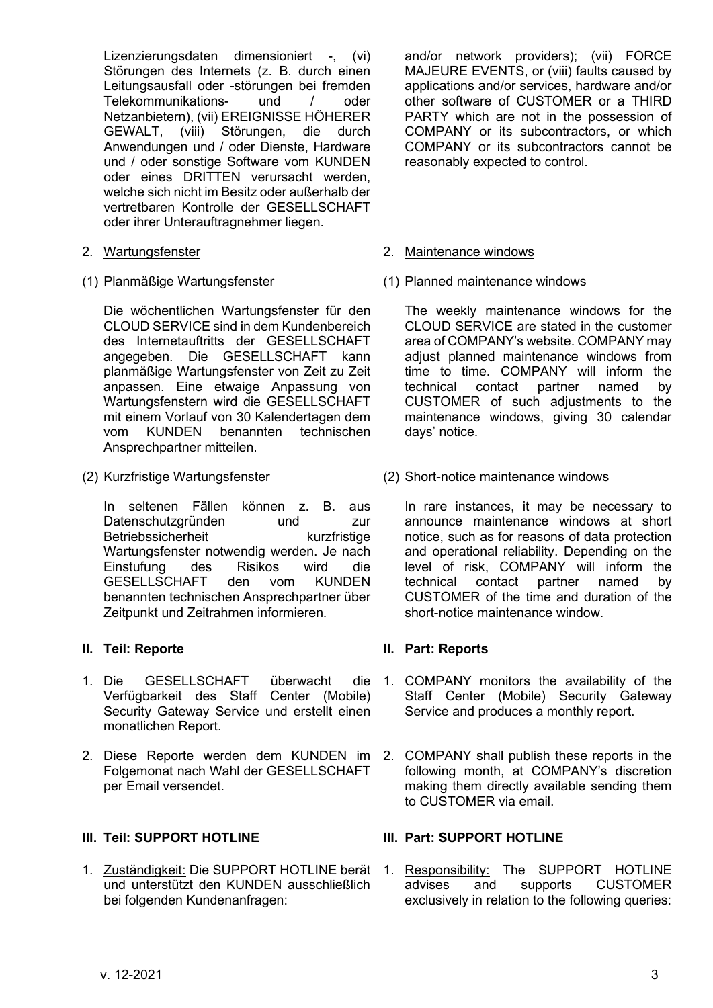Lizenzierungsdaten dimensioniert -, (vi) Störungen des Internets (z. B. durch einen Leitungsausfall oder -störungen bei fremden Telekommunikations- und / oder Netzanbietern), (vii) EREIGNISSE HÖHERER GEWALT, (viii) Störungen, die durch Anwendungen und / oder Dienste, Hardware und / oder sonstige Software vom KUNDEN oder eines DRITTEN verursacht werden, welche sich nicht im Besitz oder außerhalb der vertretbaren Kontrolle der GESELLSCHAFT oder ihrer Unterauftragnehmer liegen.

- 
- 

Die wöchentlichen Wartungsfenster für den CLOUD SERVICE sind in dem Kundenbereich des Internetauftritts der GESELLSCHAFT angegeben. Die GESELLSCHAFT kann planmäßige Wartungsfenster von Zeit zu Zeit anpassen. Eine etwaige Anpassung von Wartungsfenstern wird die GESELLSCHAFT mit einem Vorlauf von 30 Kalendertagen dem<br>vom KUNDEN benannten technischen vom KUNDEN benannten technischen Ansprechpartner mitteilen.

In seltenen Fällen können z. B. aus Datenschutzgründen und zur Betriebssicherheit kurzfristige Wartungsfenster notwendig werden. Je nach Einstufung des Risikos wird die GESELLSCHAFT den vom benannten technischen Ansprechpartner über Zeitpunkt und Zeitrahmen informieren.

- 1. Die GESELLSCHAFT überwacht Verfügbarkeit des Staff Center (Mobile) Security Gateway Service und erstellt einen monatlichen Report.
- 2. Diese Reporte werden dem KUNDEN im Folgemonat nach Wahl der GESELLSCHAFT per Email versendet.

## <span id="page-2-1"></span>**III. Teil: SUPPORT HOTLINE III. Part: SUPPORT HOTLINE**

1. Zuständigkeit: Die SUPPORT HOTLINE berät 1. Responsibility: The SUPPORT HOTLINE und unterstützt den KUNDEN ausschließlich bei folgenden Kundenanfragen:

and/or network providers); (vii) FORCE MAJEURE EVENTS, or (viii) faults caused by applications and/or services, hardware and/or other software of CUSTOMER or a THIRD PARTY which are not in the possession of COMPANY or its subcontractors, or which COMPANY or its subcontractors cannot be reasonably expected to control.

### 2. Wartungsfenster 2. Maintenance windows

(1) Planmäßige Wartungsfenster (1) Planned maintenance windows

The weekly maintenance windows for the CLOUD SERVICE are stated in the customer area of COMPANY's website. COMPANY may adjust planned maintenance windows from time to time. COMPANY will inform the technical contact partner named by CUSTOMER of such adjustments to the maintenance windows, giving 30 calendar days' notice.

(2) Kurzfristige Wartungsfenster (2) Short-notice maintenance windows

In rare instances, it may be necessary to announce maintenance windows at short notice, such as for reasons of data protection and operational reliability. Depending on the level of risk, COMPANY will inform the partner named by CUSTOMER of the time and duration of the short-notice maintenance window.

### <span id="page-2-0"></span>**II. Teil: Reporte II. Part: Reports**

- 1. COMPANY monitors the availability of the Staff Center (Mobile) Security Gateway Service and produces a monthly report.
	- 2. COMPANY shall publish these reports in the following month, at COMPANY's discretion making them directly available sending them to CUSTOMER via email.

advises and supports CUSTOMER exclusively in relation to the following queries: